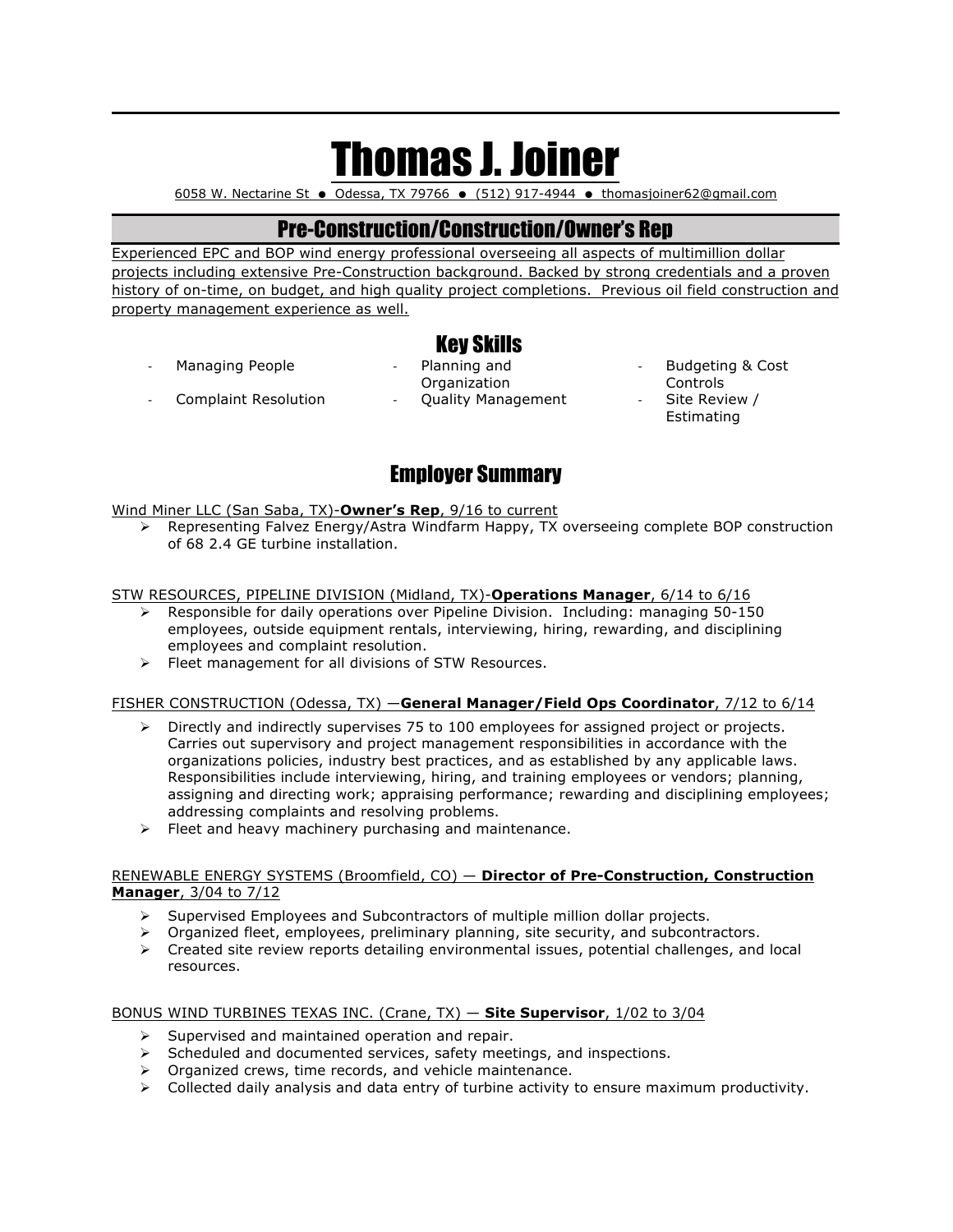# Thomas J. Joiner

6058 W. Nectarine St  $\bullet$  Odessa, TX 79766  $\bullet$  (512) 917-4944  $\bullet$  thomasjoiner62@gmail.com

## Pre-Construction/Construction/Owner's Rep

Experienced EPC and BOP wind energy professional overseeing all aspects of multimillion dollar projects including extensive Pre-Construction background. Backed by strong credentials and a proven history of on-time, on budget, and high quality project completions. Previous oil field construction and property management experience as well.

- Managing People **Fig. 2** Planning and
- Key Skills Organization Complaint Resolution - Quality Management - Site Review /
	- Budgeting & Cost Controls
	- **Estimating**

# Employer Summary

Wind Miner LLC (San Saba, TX)-**Owner's Rep**, 9/16 to current

Ø Representing Falvez Energy/Astra Windfarm Happy, TX overseeing complete BOP construction of 68 2.4 GE turbine installation.

#### STW RESOURCES, PIPELINE DIVISION (Midland, TX)-**Operations Manager**, 6/14 to 6/16

- $\triangleright$  Responsible for daily operations over Pipeline Division. Including: managing 50-150 employees, outside equipment rentals, interviewing, hiring, rewarding, and disciplining employees and complaint resolution.
- $\triangleright$  Fleet management for all divisions of STW Resources.

#### FISHER CONSTRUCTION (Odessa, TX) —**General Manager/Field Ops Coordinator**, 7/12 to 6/14

- $\triangleright$  Directly and indirectly supervises 75 to 100 employees for assigned project or projects. Carries out supervisory and project management responsibilities in accordance with the organizations policies, industry best practices, and as established by any applicable laws. Responsibilities include interviewing, hiring, and training employees or vendors; planning, assigning and directing work; appraising performance; rewarding and disciplining employees; addressing complaints and resolving problems.
- $\triangleright$  Fleet and heavy machinery purchasing and maintenance.

#### RENEWABLE ENERGY SYSTEMS (Broomfield, CO) — **Director of Pre-Construction, Construction Manager**, 3/04 to 7/12

- $\triangleright$  Supervised Employees and Subcontractors of multiple million dollar projects.
- $\triangleright$  Organized fleet, employees, preliminary planning, site security, and subcontractors.
- $\triangleright$  Created site review reports detailing environmental issues, potential challenges, and local resources.

#### BONUS WIND TURBINES TEXAS INC. (Crane, TX) — **Site Supervisor**, 1/02 to 3/04

- $\triangleright$  Supervised and maintained operation and repair.
- $\triangleright$  Scheduled and documented services, safety meetings, and inspections.
- $\triangleright$  Organized crews, time records, and vehicle maintenance.
- $\triangleright$  Collected daily analysis and data entry of turbine activity to ensure maximum productivity.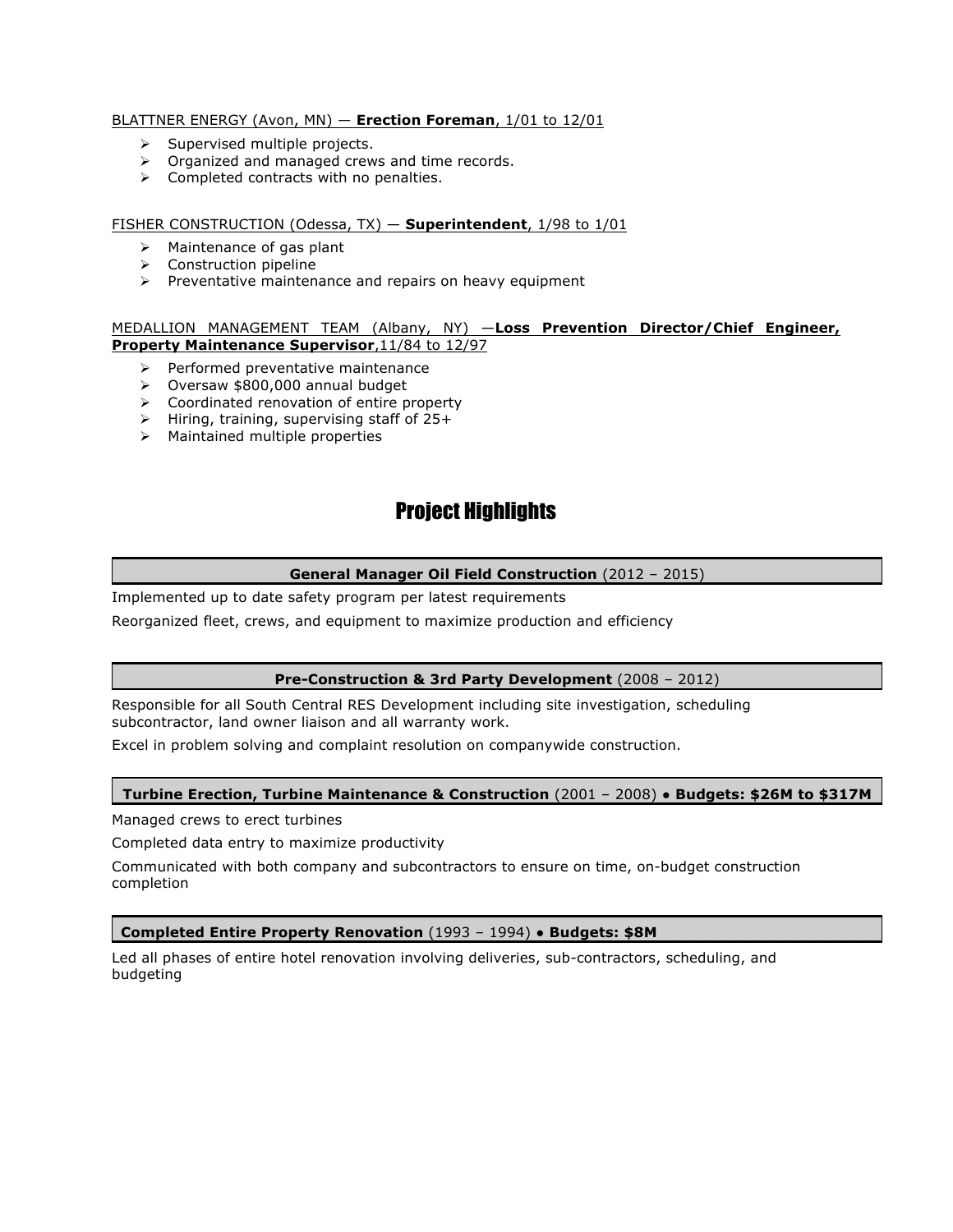#### BLATTNER ENERGY (Avon, MN) — **Erection Foreman**, 1/01 to 12/01

- $\triangleright$  Supervised multiple projects.
- $\triangleright$  Organized and managed crews and time records.
- $\triangleright$  Completed contracts with no penalties.

#### FISHER CONSTRUCTION (Odessa, TX) — **Superintendent**, 1/98 to 1/01

- $\triangleright$  Maintenance of gas plant
- $\triangleright$  Construction pipeline
- $\triangleright$  Preventative maintenance and repairs on heavy equipment

#### MEDALLION MANAGEMENT TEAM (Albany, NY) —**Loss Prevention Director/Chief Engineer, Property Maintenance Supervisor**,11/84 to 12/97

- $\triangleright$  Performed preventative maintenance
- Ø Oversaw \$800,000 annual budget
- $\triangleright$  Coordinated renovation of entire property
- $\triangleright$  Hiring, training, supervising staff of 25+
- $\triangleright$  Maintained multiple properties

## Project Highlights

#### **General Manager Oil Field Construction** (2012 – 2015)

Implemented up to date safety program per latest requirements

Reorganized fleet, crews, and equipment to maximize production and efficiency

#### **Pre-Construction & 3rd Party Development** (2008 – 2012)

Responsible for all South Central RES Development including site investigation, scheduling subcontractor, land owner liaison and all warranty work.

Excel in problem solving and complaint resolution on companywide construction.

#### **Turbine Erection, Turbine Maintenance & Construction** (2001 – 2008) ● **Budgets: \$26M to \$317M**

Managed crews to erect turbines

Completed data entry to maximize productivity

Communicated with both company and subcontractors to ensure on time, on-budget construction completion

#### **Completed Entire Property Renovation** (1993 – 1994) ● **Budgets: \$8M**

Led all phases of entire hotel renovation involving deliveries, sub-contractors, scheduling, and budgeting